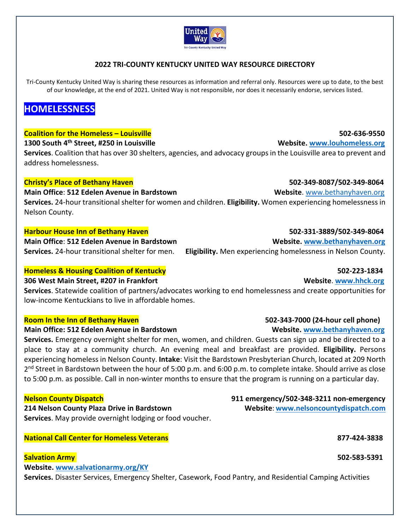

# **2022 TRI‐COUNTY KENTUCKY UNITED WAY RESOURCE DIRECTORY**

Tri-County Kentucky United Way is sharing these resources as information and referral only. Resources were up to date, to the best of our knowledge, at the end of 2021. United Way is not responsible, nor does it necessarily endorse, services listed.

# **HOMELESSNESS**

## **Coalition for the Homeless – Louisville 502‐636‐9550**

## **1300 South 4th Street, #250 in Louisville Website. www.louhomeless.org**

**Services**. Coalition that has over 30 shelters, agencies, and advocacy groups in the Louisville area to prevent and address homelessness.

## **Christy's Place of Bethany Haven 502‐349‐8087/502‐349‐8064**

# **Main Office**: **512 Edelen Avenue in Bardstown Website**. www.bethanyhaven.org

**Services.** 24‐hour transitional shelter for women and children. **Eligibility.** Women experiencing homelessness in Nelson County.

## **Harbour House Inn of Bethany Haven 502‐331‐3889/502‐349‐8064**

**Main Office: 512 Edelen Avenue in Bardstown Website. www.bethanyhaven.org** 

# **Homeless & Housing Coalition of Kentucky 502‐223‐1834**

# **306 West Main Street, #207 in Frankfort Website**. **www.hhck.org**

**Services**. Statewide coalition of partners/advocates working to end homelessness and create opportunities for low‐income Kentuckians to live in affordable homes.

## **Main Office: 512 Edelen Avenue in Bardstown Website. www.bethanyhaven.org**

**Services.** Emergency overnight shelter for men, women, and children. Guests can sign up and be directed to a place to stay at a community church. An evening meal and breakfast are provided. **Eligibility.**  Persons experiencing homeless in Nelson County. **Intake**: Visit the Bardstown Presbyterian Church, located at 209 North 2<sup>nd</sup> Street in Bardstown between the hour of 5:00 p.m. and 6:00 p.m. to complete intake. Should arrive as close to 5:00 p.m. as possible. Call in non‐winter months to ensure that the program is running on a particular day.

**214 Nelson County Plaza Drive in Bardstown Website**: **www.nelsoncountydispatch.com Services**. May provide overnight lodging or food voucher.

**National Call Center for Homeless Veterans 877‐424‐3838** 

# **Salvation Army 502‐583‐5391**

**Website. www.salvationarmy.org/KY**

**Services.** Disaster Services, Emergency Shelter, Casework, Food Pantry, and Residential Camping Activities

**Services.** 24‐hour transitional shelter for men. **Eligibility.** Men experiencing homelessness in Nelson County.

# **Room In the Inn of Bethany Haven 502‐343‐7000 (24‐hour cell phone)**

**Nelson County Dispatch 911 emergency/502‐348‐3211 non‐emergency**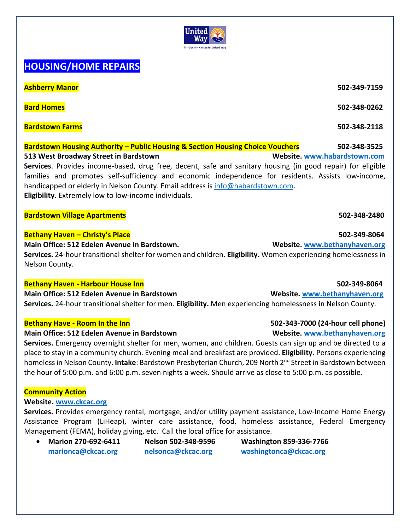# **HOUSING/HOME REPAIRS**

**Ashberry Manor 502‐349‐7159** 

**Bard Homes 502‐348‐0262** 

**Bardstown Farms 502‐348‐2118** 

# **Bardstown Housing Authority – Public Housing & Section Housing Choice Vouchers 502‐348‐3525 513 West Broadway Street in Bardstown Website. www.habardstown.com**

Services. Provides income-based, drug free, decent, safe and sanitary housing (in good repair) for eligible families and promotes self-sufficiency and economic independence for residents. Assists low-income, handicapped or elderly in Nelson County. Email address is info@habardstown.com. **Eligibility**. Extremely low to low‐income individuals.

## **Bardstown Village Apartments 502‐348‐2480**

## **Bethany Haven – Christy's Place 502‐349‐8064**

**Main Office: 512 Edelen Avenue in Bardstown. Website. www.bethanyhaven.org** 

**Services.** 24‐hour transitional shelter for women and children. **Eligibility.** Women experiencing homelessness in Nelson County.

# **Bethany Haven ‐ Harbour House Inn 502‐349‐8064**

**Main Office: 512 Edelen Avenue in Bardstown Website. www.bethanyhaven.org Services.** 24‐hour transitional shelter for men. **Eligibility.** Men experiencing homelessness in Nelson County.

## **Bethany Have - Room In the Inn <b> <b>1986** (24-hour cell phone) **Bethany Have** - Room In the Inn

## **Main Office: 512 Edelen Avenue in Bardstown 
<b>Website.** Website. www.bethanyhaven.org

**Services.** Emergency overnight shelter for men, women, and children. Guests can sign up and be directed to a place to stay in a community church. Evening meal and breakfast are provided. **Eligibility.** Persons experiencing homeless in Nelson County. **Intake**: Bardstown Presbyterian Church, 209 North 2nd Street in Bardstown between the hour of 5:00 p.m. and 6:00 p.m. seven nights a week. Should arrive as close to 5:00 p.m. as possible.

# **Community Action**

## **Website. www.ckcac.org**

**Services.** Provides emergency rental, mortgage, and/or utility payment assistance, Low‐Income Home Energy Assistance Program (LiHeap), winter care assistance, food, homeless assistance, Federal Emergency Management (FEMA), holiday giving, etc. Call the local office for assistance.

**Marion 270‐692‐6411 Nelson 502‐348‐9596 Washington 859‐336‐7766** 

**marionca@ckcac.org nelsonca@ckcac.org washingtonca@ckcac.org**

United Wav ounty Kentucky United Way